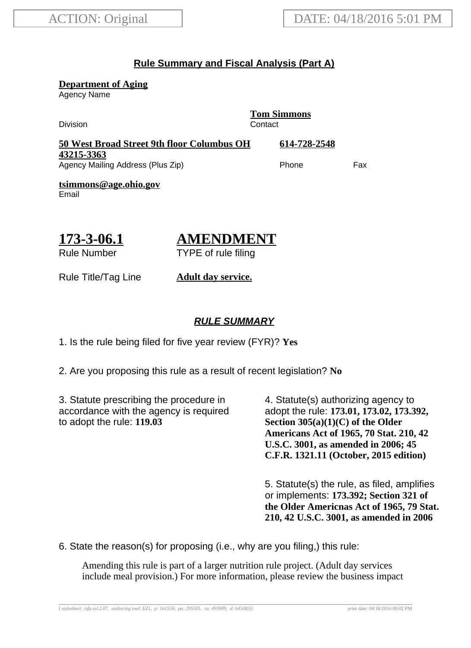## **Rule Summary and Fiscal Analysis (Part A)**

**Department of Aging**

Agency Name

Division Contact

**Tom Simmons**

| 50 West Broad Street 9th floor Columbus OH | 614-728-2548 |     |
|--------------------------------------------|--------------|-----|
| 43215-3363                                 |              |     |
| Agency Mailing Address (Plus Zip)          | Phone        | Fax |

**tsimmons@age.ohio.gov** Email

**173-3-06.1** Rule Number

# **AMENDMENT**

TYPE of rule filing

Rule Title/Tag Line **Adult day service.**

### **RULE SUMMARY**

1. Is the rule being filed for five year review (FYR)? **Yes**

2. Are you proposing this rule as a result of recent legislation? **No**

3. Statute prescribing the procedure in accordance with the agency is required to adopt the rule: **119.03**

4. Statute(s) authorizing agency to adopt the rule: **173.01, 173.02, 173.392, Section 305(a)(1)(C) of the Older Americans Act of 1965, 70 Stat. 210, 42 U.S.C. 3001, as amended in 2006; 45 C.F.R. 1321.11 (October, 2015 edition)**

5. Statute(s) the rule, as filed, amplifies or implements: **173.392; Section 321 of the Older Americnas Act of 1965, 79 Stat. 210, 42 U.S.C. 3001, as amended in 2006**

6. State the reason(s) for proposing (i.e., why are you filing,) this rule:

Amending this rule is part of a larger nutrition rule project. (Adult day services include meal provision.) For more information, please review the business impact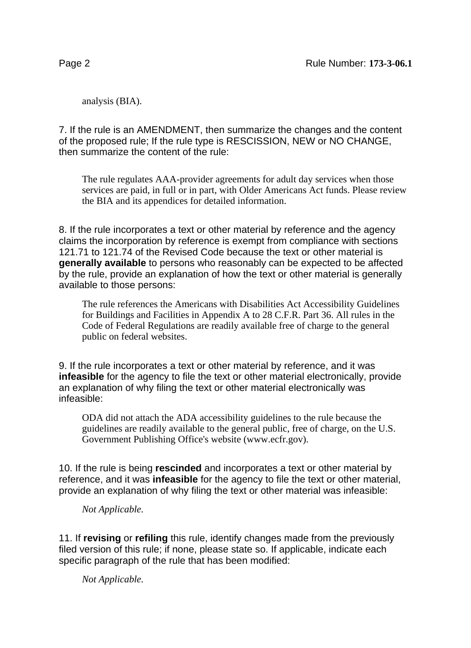analysis (BIA).

7. If the rule is an AMENDMENT, then summarize the changes and the content of the proposed rule; If the rule type is RESCISSION, NEW or NO CHANGE, then summarize the content of the rule:

The rule regulates AAA-provider agreements for adult day services when those services are paid, in full or in part, with Older Americans Act funds. Please review the BIA and its appendices for detailed information.

8. If the rule incorporates a text or other material by reference and the agency claims the incorporation by reference is exempt from compliance with sections 121.71 to 121.74 of the Revised Code because the text or other material is **generally available** to persons who reasonably can be expected to be affected by the rule, provide an explanation of how the text or other material is generally available to those persons:

The rule references the Americans with Disabilities Act Accessibility Guidelines for Buildings and Facilities in Appendix A to 28 C.F.R. Part 36. All rules in the Code of Federal Regulations are readily available free of charge to the general public on federal websites.

9. If the rule incorporates a text or other material by reference, and it was **infeasible** for the agency to file the text or other material electronically, provide an explanation of why filing the text or other material electronically was infeasible:

ODA did not attach the ADA accessibility guidelines to the rule because the guidelines are readily available to the general public, free of charge, on the U.S. Government Publishing Office's website (www.ecfr.gov).

10. If the rule is being **rescinded** and incorporates a text or other material by reference, and it was **infeasible** for the agency to file the text or other material, provide an explanation of why filing the text or other material was infeasible:

*Not Applicable.*

11. If **revising** or **refiling** this rule, identify changes made from the previously filed version of this rule; if none, please state so. If applicable, indicate each specific paragraph of the rule that has been modified:

*Not Applicable.*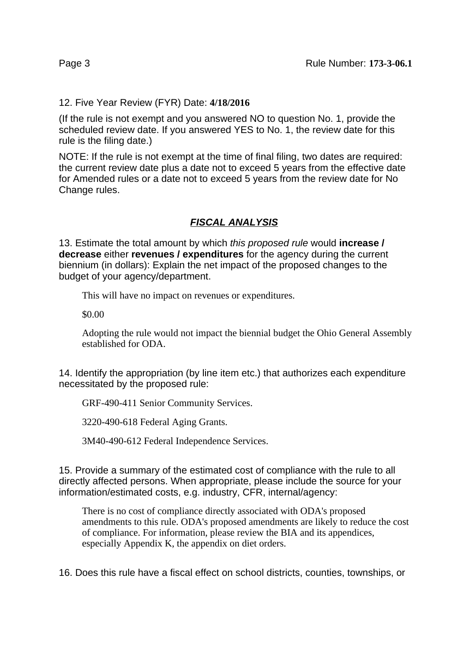12. Five Year Review (FYR) Date: **4/18/2016**

(If the rule is not exempt and you answered NO to question No. 1, provide the scheduled review date. If you answered YES to No. 1, the review date for this rule is the filing date.)

NOTE: If the rule is not exempt at the time of final filing, two dates are required: the current review date plus a date not to exceed 5 years from the effective date for Amended rules or a date not to exceed 5 years from the review date for No Change rules.

## **FISCAL ANALYSIS**

13. Estimate the total amount by which this proposed rule would **increase / decrease** either **revenues / expenditures** for the agency during the current biennium (in dollars): Explain the net impact of the proposed changes to the budget of your agency/department.

This will have no impact on revenues or expenditures.

\$0.00

Adopting the rule would not impact the biennial budget the Ohio General Assembly established for ODA.

14. Identify the appropriation (by line item etc.) that authorizes each expenditure necessitated by the proposed rule:

GRF-490-411 Senior Community Services.

3220-490-618 Federal Aging Grants.

3M40-490-612 Federal Independence Services.

15. Provide a summary of the estimated cost of compliance with the rule to all directly affected persons. When appropriate, please include the source for your information/estimated costs, e.g. industry, CFR, internal/agency:

There is no cost of compliance directly associated with ODA's proposed amendments to this rule. ODA's proposed amendments are likely to reduce the cost of compliance. For information, please review the BIA and its appendices, especially Appendix K, the appendix on diet orders.

16. Does this rule have a fiscal effect on school districts, counties, townships, or